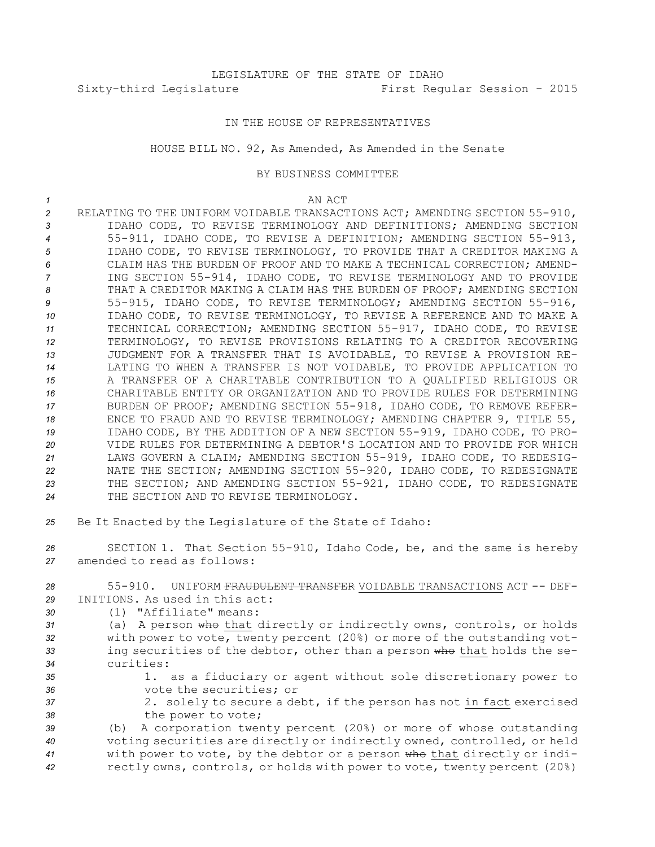# LEGISLATURE OF THE STATE OF IDAHO Sixty-third Legislature First Regular Session - 2015

## IN THE HOUSE OF REPRESENTATIVES

### HOUSE BILL NO. 92, As Amended, As Amended in the Senate

### BY BUSINESS COMMITTEE

#### *1* AN ACT

 RELATING TO THE UNIFORM VOIDABLE TRANSACTIONS ACT; AMENDING SECTION 55-910, IDAHO CODE, TO REVISE TERMINOLOGY AND DEFINITIONS; AMENDING SECTION 55-911, IDAHO CODE, TO REVISE A DEFINITION; AMENDING SECTION 55-913, IDAHO CODE, TO REVISE TERMINOLOGY, TO PROVIDE THAT A CREDITOR MAKING A CLAIM HAS THE BURDEN OF PROOF AND TO MAKE A TECHNICAL CORRECTION; AMEND- ING SECTION 55-914, IDAHO CODE, TO REVISE TERMINOLOGY AND TO PROVIDE THAT A CREDITOR MAKING A CLAIM HAS THE BURDEN OF PROOF; AMENDING SECTION 55-915, IDAHO CODE, TO REVISE TERMINOLOGY; AMENDING SECTION 55-916, IDAHO CODE, TO REVISE TERMINOLOGY, TO REVISE A REFERENCE AND TO MAKE A TECHNICAL CORRECTION; AMENDING SECTION 55-917, IDAHO CODE, TO REVISE TERMINOLOGY, TO REVISE PROVISIONS RELATING TO A CREDITOR RECOVERING JUDGMENT FOR A TRANSFER THAT IS AVOIDABLE, TO REVISE A PROVISION RE- LATING TO WHEN A TRANSFER IS NOT VOIDABLE, TO PROVIDE APPLICATION TO A TRANSFER OF A CHARITABLE CONTRIBUTION TO A QUALIFIED RELIGIOUS OR CHARITABLE ENTITY OR ORGANIZATION AND TO PROVIDE RULES FOR DETERMINING BURDEN OF PROOF; AMENDING SECTION 55-918, IDAHO CODE, TO REMOVE REFER- ENCE TO FRAUD AND TO REVISE TERMINOLOGY; AMENDING CHAPTER 9, TITLE 55, IDAHO CODE, BY THE ADDITION OF A NEW SECTION 55-919, IDAHO CODE, TO PRO- VIDE RULES FOR DETERMINING A DEBTOR'S LOCATION AND TO PROVIDE FOR WHICH LAWS GOVERN A CLAIM; AMENDING SECTION 55-919, IDAHO CODE, TO REDESIG- NATE THE SECTION; AMENDING SECTION 55-920, IDAHO CODE, TO REDESIGNATE THE SECTION; AND AMENDING SECTION 55-921, IDAHO CODE, TO REDESIGNATE THE SECTION AND TO REVISE TERMINOLOGY. Be It Enacted by the Legislature of the State of Idaho: SECTION 1. That Section 55-910, Idaho Code, be, and the same is hereby amended to read as follows: 55-910. UNIFORM FRAUDULENT TRANSFER VOIDABLE TRANSACTIONS ACT -- DEF- INITIONS. As used in this act: (1) "Affiliate" means: (a) <sup>A</sup> person who that directly or indirectly owns, controls, or holds with power to vote, twenty percent (20%) or more of the outstanding vot- ing securities of the debtor, other than <sup>a</sup> person who that holds the se- curities: 1. as <sup>a</sup> fiduciary or agent without sole discretionary power to vote the securities; or 2. solely to secure <sup>a</sup> debt, if the person has not in fact exercised 38 the power to vote;

 (b) <sup>A</sup> corporation twenty percent (20%) or more of whose outstanding voting securities are directly or indirectly owned, controlled, or held with power to vote, by the debtor or <sup>a</sup> person who that directly or indi-rectly owns, controls, or holds with power to vote, twenty percent (20%)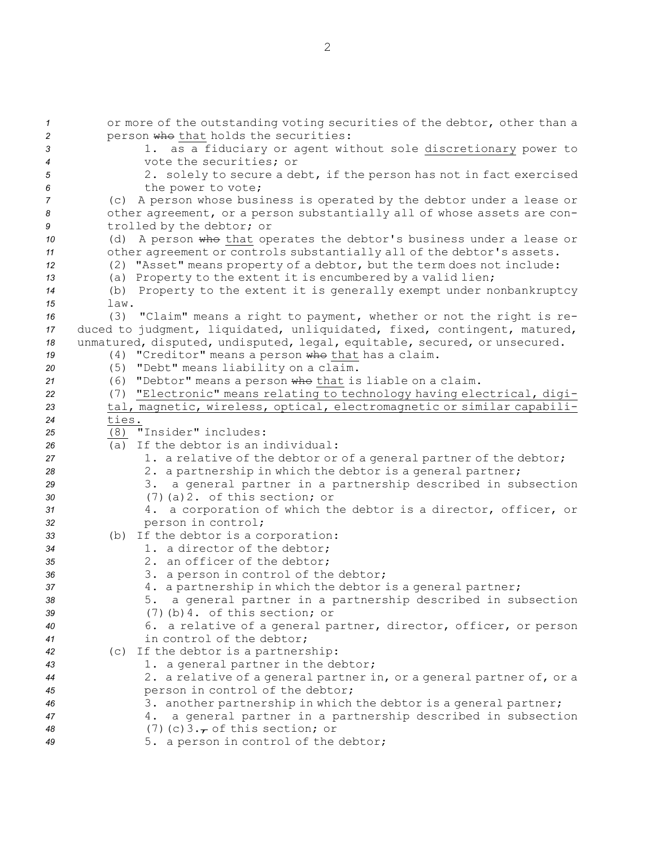| $\mathbf{1}$   | or more of the outstanding voting securities of the debtor, other than a                      |
|----------------|-----------------------------------------------------------------------------------------------|
| $\overline{c}$ | person who that holds the securities:                                                         |
| 3              | as a fiduciary or agent without sole discretionary power to                                   |
| $\overline{4}$ | vote the securities; or                                                                       |
| 5              | 2. solely to secure a debt, if the person has not in fact exercised                           |
| 6              | the power to vote;                                                                            |
| 7              | A person whose business is operated by the debtor under a lease or<br>(C)                     |
| 8              | other agreement, or a person substantially all of whose assets are con-                       |
| 9              | trolled by the debtor; or                                                                     |
| 10             | (d) A person who that operates the debtor's business under a lease or                         |
| 11             | other agreement or controls substantially all of the debtor's assets.                         |
| 12             | (2) "Asset" means property of a debtor, but the term does not include:                        |
| 13             | (a) Property to the extent it is encumbered by a valid lien;                                  |
| 14             | (b) Property to the extent it is generally exempt under nonbankruptcy                         |
| 15<br>16       | law.<br>(3)<br>"Claim" means a right to payment, whether or not the right is re-              |
| 17             | duced to judgment, liquidated, unliquidated, fixed, contingent, matured,                      |
| 18             | unmatured, disputed, undisputed, legal, equitable, secured, or unsecured.                     |
| 19             | (4) "Creditor" means a person who that has a claim.                                           |
| 20             | (5) "Debt" means liability on a claim.                                                        |
| 21             | (6) "Debtor" means a person who that is liable on a claim.                                    |
| 22             | (7) "Electronic" means relating to technology having electrical, digi-                        |
| 23             | tal, magnetic, wireless, optical, electromagnetic or similar capabili-                        |
| 24             | ties.                                                                                         |
| 25             | (8) "Insider" includes:                                                                       |
| 26             | If the debtor is an individual:<br>(a)                                                        |
| 27             | 1. a relative of the debtor or of a general partner of the debtor;                            |
| 28             | 2. a partnership in which the debtor is a general partner;                                    |
| 29             | a general partner in a partnership described in subsection<br>3.                              |
| 30             | $(7)$ (a) 2. of this section; or                                                              |
| 31             | a corporation of which the debtor is a director, officer, or<br>4.                            |
| 32             | person in control;                                                                            |
| 33             | (b) If the debtor is a corporation:                                                           |
| 34             | 1. a director of the debtor;                                                                  |
| 35             | 2. an officer of the debtor;                                                                  |
| 36             | 3. a person in control of the debtor;                                                         |
| 37             | 4. a partnership in which the debtor is a general partner;                                    |
| 38             | a general partner in a partnership described in subsection<br>5.                              |
| 39             | $(7)$ (b) 4. of this section; or                                                              |
| 40             | 6. a relative of a general partner, director, officer, or person<br>in control of the debtor; |
| 41             | (c) If the debtor is a partnership:                                                           |
| 42<br>43       | 1. a general partner in the debtor;                                                           |
| 44             | 2. a relative of a general partner in, or a general partner of, or a                          |
| 45             | person in control of the debtor;                                                              |
| 46             | 3. another partnership in which the debtor is a general partner;                              |
| 47             | a general partner in a partnership described in subsection<br>4.                              |
| 48             | $(7)$ (c) 3. $\tau$ of this section; or                                                       |
| 49             | 5. a person in control of the debtor;                                                         |
|                |                                                                                               |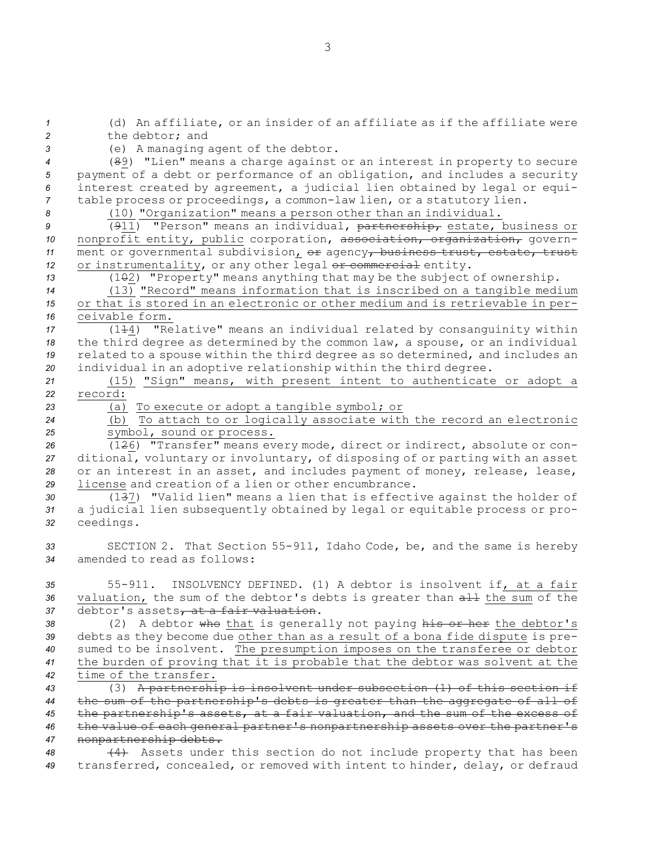(d) An affiliate, or an insider of an affiliate as if the affiliate were the debtor; and (e) <sup>A</sup> managing agent of the debtor. (89) "Lien" means <sup>a</sup> charge against or an interest in property to secure payment of <sup>a</sup> debt or performance of an obligation, and includes <sup>a</sup> security interest created by agreement, <sup>a</sup> judicial lien obtained by legal or equi- table process or proceedings, <sup>a</sup> common-law lien, or <sup>a</sup> statutory lien. (10) "Organization" means <sup>a</sup> person other than an individual. (911) "Person" means an individual, partnership, estate, business or nonprofit entity, public corporation, association, organization, govern-11 ment or governmental subdivision,  $e^{i\phi}$  agency, business trust, estate, trust 12 or instrumentality, or any other legal or commercial entity. 13 (102) "Property" means anything that may be the subject of ownership. (13) "Record" means information that is inscribed on <sup>a</sup> tangible medium or that is stored in an electronic or other medium and is retrievable in per- ceivable form. (114) "Relative" means an individual related by consanguinity within the third degree as determined by the common law, <sup>a</sup> spouse, or an individual related to <sup>a</sup> spouse within the third degree as so determined, and includes an individual in an adoptive relationship within the third degree. (15) "Sign" means, with present intent to authenticate or adopt <sup>a</sup> *22* record: (a) To execute or adopt <sup>a</sup> tangible symbol; or (b) To attach to or logically associate with the record an electronic symbol, sound or process. (126) "Transfer" means every mode, direct or indirect, absolute or con- ditional, voluntary or involuntary, of disposing of or parting with an asset or an interest in an asset, and includes payment of money, release, lease, license and creation of <sup>a</sup> lien or other encumbrance. (137) "Valid lien" means <sup>a</sup> lien that is effective against the holder of <sup>a</sup> judicial lien subsequently obtained by legal or equitable process or pro- ceedings. SECTION 2. That Section 55-911, Idaho Code, be, and the same is hereby amended to read as follows: 55-911. INSOLVENCY DEFINED. (1) A debtor is insolvent if, at <sup>a</sup> fair 36 valuation, the sum of the debtor's debts is greater than  $\frac{11}{100}$  the sum of the 37 debtor's assets, at a fair valuation. 38 (2) A debtor who that is generally not paying his or her the debtor's debts as they become due other than as <sup>a</sup> result of <sup>a</sup> bona fide dispute is pre- sumed to be insolvent. The presumption imposes on the transferee or debtor the burden of proving that it is probable that the debtor was solvent at the time of the transfer. (3) <sup>A</sup> partnership is insolvent under subsection (1) of this section if the sum of the partnership's debts is greater than the aggregate of all of the partnership's assets, at <sup>a</sup> fair valuation, and the sum of the excess of the value of each general partner's nonpartnership assets over the partner's nonpartnership debts. (4) Assets under this section do not include property that has been transferred, concealed, or removed with intent to hinder, delay, or defraud

3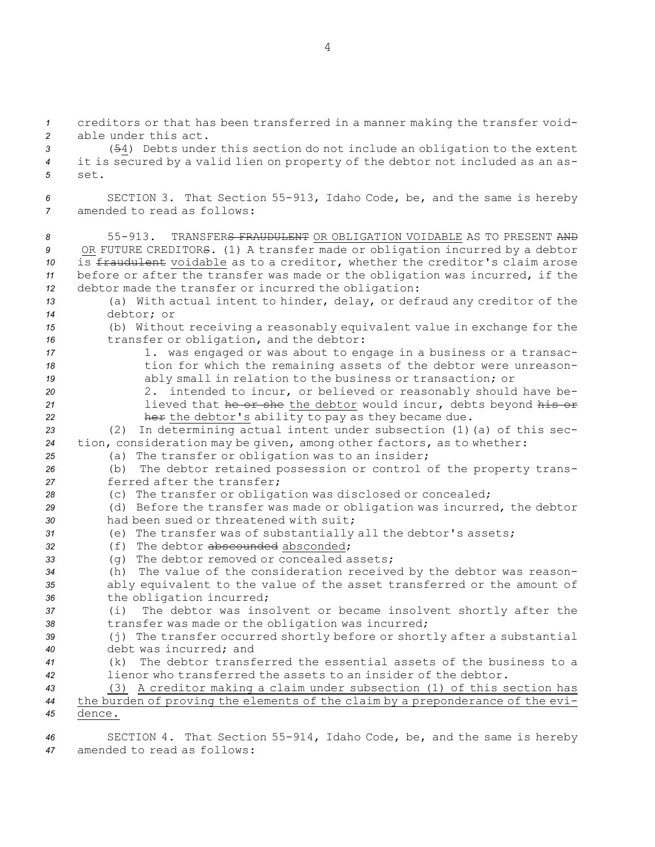creditors or that has been transferred in <sup>a</sup> manner making the transfer void- able under this act. (54) Debts under this section do not include an obligation to the extent it is secured by <sup>a</sup> valid lien on property of the debtor not included as an as-*5* set. SECTION 3. That Section 55-913, Idaho Code, be, and the same is hereby amended to read as follows: 55-913. TRANSFERS FRAUDULENT OR OBLIGATION VOIDABLE AS TO PRESENT AND OR FUTURE CREDITORS. (1) <sup>A</sup> transfer made or obligation incurred by <sup>a</sup> debtor is fraudulent voidable as to <sup>a</sup> creditor, whether the creditor's claim arose before or after the transfer was made or the obligation was incurred, if the debtor made the transfer or incurred the obligation: (a) With actual intent to hinder, delay, or defraud any creditor of the debtor; or (b) Without receiving <sup>a</sup> reasonably equivalent value in exchange for the transfer or obligation, and the debtor: 17 17 1. was engaged or was about to engage in a business or a transac- tion for which the remaining assets of the debtor were unreason- ably small in relation to the business or transaction; or 2. intended to incur, or believed or reasonably should have be-**1** lieved that he or she the debtor would incur, debts beyond his or **her** the debtor's ability to pay as they became due. (2) In determining actual intent under subsection (1)(a) of this sec- tion, consideration may be given, among other factors, as to whether: (a) The transfer or obligation was to an insider; (b) The debtor retained possession or control of the property trans- ferred after the transfer; (c) The transfer or obligation was disclosed or concealed; (d) Before the transfer was made or obligation was incurred, the debtor had been sued or threatened with suit; (e) The transfer was of substantially all the debtor's assets; (f) The debtor abscounded absconded; (g) The debtor removed or concealed assets; (h) The value of the consideration received by the debtor was reason- ably equivalent to the value of the asset transferred or the amount of 36 the obligation incurred; (i) The debtor was insolvent or became insolvent shortly after the transfer was made or the obligation was incurred; (j) The transfer occurred shortly before or shortly after <sup>a</sup> substantial debt was incurred; and (k) The debtor transferred the essential assets of the business to <sup>a</sup> lienor who transferred the assets to an insider of the debtor. (3) <sup>A</sup> creditor making <sup>a</sup> claim under subsection (1) of this section has the burden of proving the elements of the claim by <sup>a</sup> preponderance of the evi-*45* dence.

*<sup>46</sup>* SECTION 4. That Section 55-914, Idaho Code, be, and the same is hereby *47* amended to read as follows:

4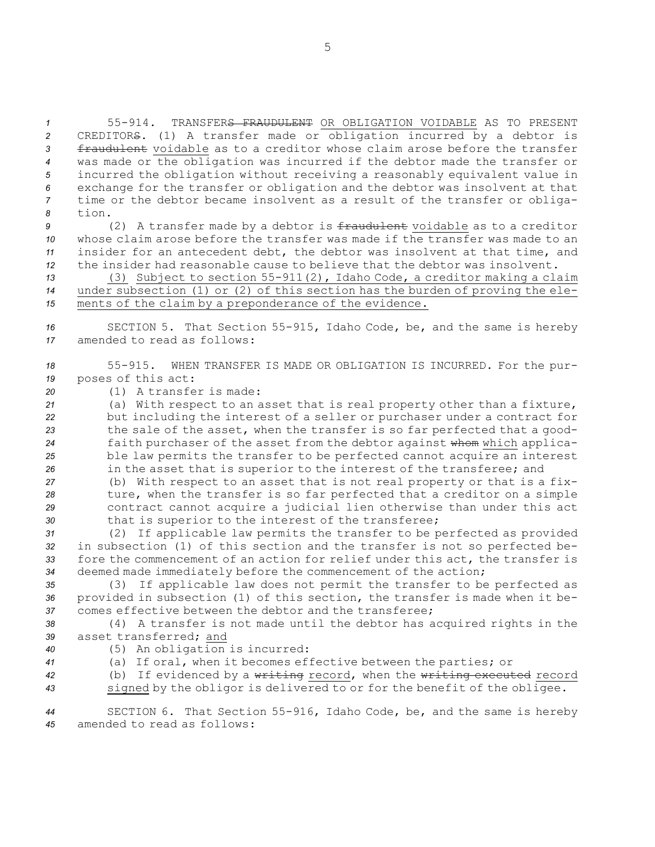55-914. TRANSFERS FRAUDULENT OR OBLIGATION VOIDABLE AS TO PRESENT CREDITORS. (1) <sup>A</sup> transfer made or obligation incurred by <sup>a</sup> debtor is fraudulent voidable as to <sup>a</sup> creditor whose claim arose before the transfer was made or the obligation was incurred if the debtor made the transfer or incurred the obligation without receiving <sup>a</sup> reasonably equivalent value in exchange for the transfer or obligation and the debtor was insolvent at that time or the debtor became insolvent as <sup>a</sup> result of the transfer or obliga-*8* tion.

 (2) A transfer made by a debtor is fraudulent voidable as to a creditor whose claim arose before the transfer was made if the transfer was made to an insider for an antecedent debt, the debtor was insolvent at that time, and the insider had reasonable cause to believe that the debtor was insolvent.

*<sup>13</sup>* (3) Subject to section 55-911(2), Idaho Code, <sup>a</sup> creditor making <sup>a</sup> claim *<sup>14</sup>* under subsection (1) or (2) of this section has the burden of proving the ele-*<sup>15</sup>* ments of the claim by <sup>a</sup> preponderance of the evidence.

*<sup>16</sup>* SECTION 5. That Section 55-915, Idaho Code, be, and the same is hereby *17* amended to read as follows:

- *<sup>18</sup>* 55-915. WHEN TRANSFER IS MADE OR OBLIGATION IS INCURRED. For the pur-*<sup>19</sup>* poses of this act:
- *20* (1) A transfer is made:

 (a) With respect to an asset that is real property other than <sup>a</sup> fixture, but including the interest of <sup>a</sup> seller or purchaser under <sup>a</sup> contract for the sale of the asset, when the transfer is so far perfected that <sup>a</sup> good- faith purchaser of the asset from the debtor against whom which applica- ble law permits the transfer to be perfected cannot acquire an interest in the asset that is superior to the interest of the transferee; and

 (b) With respect to an asset that is not real property or that is <sup>a</sup> fix- ture, when the transfer is so far perfected that <sup>a</sup> creditor on <sup>a</sup> simple contract cannot acquire <sup>a</sup> judicial lien otherwise than under this act that is superior to the interest of the transferee;

 (2) If applicable law permits the transfer to be perfected as provided in subsection (1) of this section and the transfer is not so perfected be- fore the commencement of an action for relief under this act, the transfer is deemed made immediately before the commencement of the action;

*<sup>35</sup>* (3) If applicable law does not permit the transfer to be perfected as *<sup>36</sup>* provided in subsection (1) of this section, the transfer is made when it be-*37* comes effective between the debtor and the transferee;

*<sup>38</sup>* (4) <sup>A</sup> transfer is not made until the debtor has acquired rights in the *39* asset transferred; and

- 
- *<sup>40</sup>* (5) An obligation is incurred:
- 

*<sup>41</sup>* (a) If oral, when it becomes effective between the parties; or

*<sup>42</sup>* (b) If evidenced by <sup>a</sup> writing record, when the writing executed record *<sup>43</sup>* signed by the obligor is delivered to or for the benefit of the obligee.

*<sup>44</sup>* SECTION 6. That Section 55-916, Idaho Code, be, and the same is hereby *45* amended to read as follows: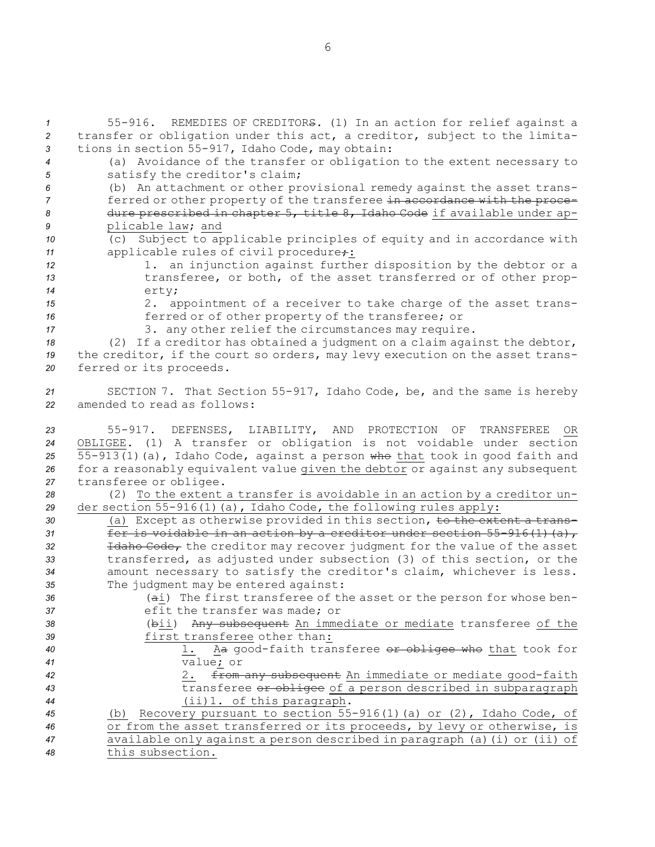55-916. REMEDIES OF CREDITORS. (1) In an action for relief against <sup>a</sup> transfer or obligation under this act, <sup>a</sup> creditor, subject to the limita- tions in section 55-917, Idaho Code, may obtain: (a) Avoidance of the transfer or obligation to the extent necessary to satisfy the creditor's claim; (b) An attachment or other provisional remedy against the asset trans-**ferred or other property of the transferee in accordance with the proce-** dure prescribed in chapter 5, title 8, Idaho Code if available under ap- plicable law; and (c) Subject to applicable principles of equity and in accordance with 11 applicable rules of civil procedure: 12 12 1. an injunction against further disposition by the debtor or a 13 transferee, or both, of the asset transferred or of other prop-*<sup>14</sup>* erty; 2. appointment of <sup>a</sup> receiver to take charge of the asset trans- ferred or of other property of the transferee; or 3. any other relief the circumstances may require. (2) If <sup>a</sup> creditor has obtained <sup>a</sup> judgment on <sup>a</sup> claim against the debtor, the creditor, if the court so orders, may levy execution on the asset trans- ferred or its proceeds. SECTION 7. That Section 55-917, Idaho Code, be, and the same is hereby amended to read as follows: 55-917. DEFENSES, LIABILITY, AND PROTECTION OF TRANSFEREE OR OBLIGEE. (1) <sup>A</sup> transfer or obligation is not voidable under section 55-913(1)(a), Idaho Code, against <sup>a</sup> person who that took in good faith and for <sup>a</sup> reasonably equivalent value given the debtor or against any subsequent transferee or obligee. (2) To the extent <sup>a</sup> transfer is avoidable in an action by <sup>a</sup> creditor un- der section 55-916(1)(a), Idaho Code, the following rules apply: 30 (a) Except as otherwise provided in this section, to the extent a trans- fer is voidable in an action by <sup>a</sup> creditor under section 55-916(1)(a), Idaho Code, the creditor may recover judgment for the value of the asset transferred, as adjusted under subsection (3) of this section, or the amount necessary to satisfy the creditor's claim, whichever is less. The judgment may be entered against: (ai) The first transferee of the asset or the person for whose ben- efit the transfer was made; or (bii) Any subsequent An immediate or mediate transferee of the first transferee other than: 1. Aa good-faith transferee or obligee who that took for value; or 2. from any subsequent An immediate or mediate good-faith transferee or obligee of <sup>a</sup> person described in subparagraph (ii)1. of this paragraph. (b) Recovery pursuant to section 55-916(1)(a) or (2), Idaho Code, of or from the asset transferred or its proceeds, by levy or otherwise, is available only against <sup>a</sup> person described in paragraph (a)(i) or (ii) of this subsection.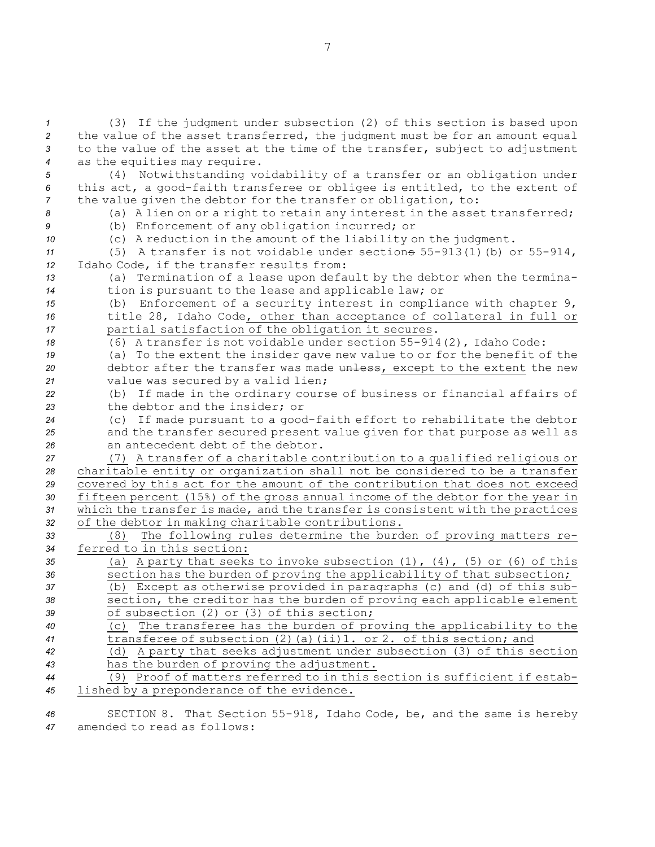(3) If the judgment under subsection (2) of this section is based upon the value of the asset transferred, the judgment must be for an amount equal to the value of the asset at the time of the transfer, subject to adjustment as the equities may require. (4) Notwithstanding voidability of <sup>a</sup> transfer or an obligation under this act, <sup>a</sup> good-faith transferee or obligee is entitled, to the extent of the value given the debtor for the transfer or obligation, to: (a) <sup>A</sup> lien on or <sup>a</sup> right to retain any interest in the asset transferred; (b) Enforcement of any obligation incurred; or (c) <sup>A</sup> reduction in the amount of the liability on the judgment. (5) A transfer is not voidable under sections 55-913(1)(b) or 55-914, Idaho Code, if the transfer results from: (a) Termination of <sup>a</sup> lease upon default by the debtor when the termina- tion is pursuant to the lease and applicable law; or (b) Enforcement of <sup>a</sup> security interest in compliance with chapter 9, title 28, Idaho Code, other than acceptance of collateral in full or partial satisfaction of the obligation it secures. (6) A transfer is not voidable under section 55-914(2), Idaho Code: (a) To the extent the insider gave new value to or for the benefit of the 20 debtor after the transfer was made unless, except to the extent the new value was secured by <sup>a</sup> valid lien; (b) If made in the ordinary course of business or financial affairs of the debtor and the insider; or (c) If made pursuant to <sup>a</sup> good-faith effort to rehabilitate the debtor and the transfer secured present value given for that purpose as well as an antecedent debt of the debtor. (7) <sup>A</sup> transfer of <sup>a</sup> charitable contribution to <sup>a</sup> qualified religious or charitable entity or organization shall not be considered to be <sup>a</sup> transfer covered by this act for the amount of the contribution that does not exceed fifteen percent (15%) of the gross annual income of the debtor for the year in which the transfer is made, and the transfer is consistent with the practices of the debtor in making charitable contributions. (8) The following rules determine the burden of proving matters re- ferred to in this section: (a) <sup>A</sup> party that seeks to invoke subsection (1), (4), (5) or (6) of this 36 section has the burden of proving the applicability of that subsection; (b) Except as otherwise provided in paragraphs (c) and (d) of this sub- section, the creditor has the burden of proving each applicable element of subsection (2) or (3) of this section; (c) The transferee has the burden of proving the applicability to the transferee of subsection (2)(a)(ii)1. or 2. of this section; and (d) <sup>A</sup> party that seeks adjustment under subsection (3) of this section has the burden of proving the adjustment. (9) Proof of matters referred to in this section is sufficient if estab-lished by <sup>a</sup> preponderance of the evidence.

*<sup>46</sup>* SECTION 8. That Section 55-918, Idaho Code, be, and the same is hereby *47* amended to read as follows: